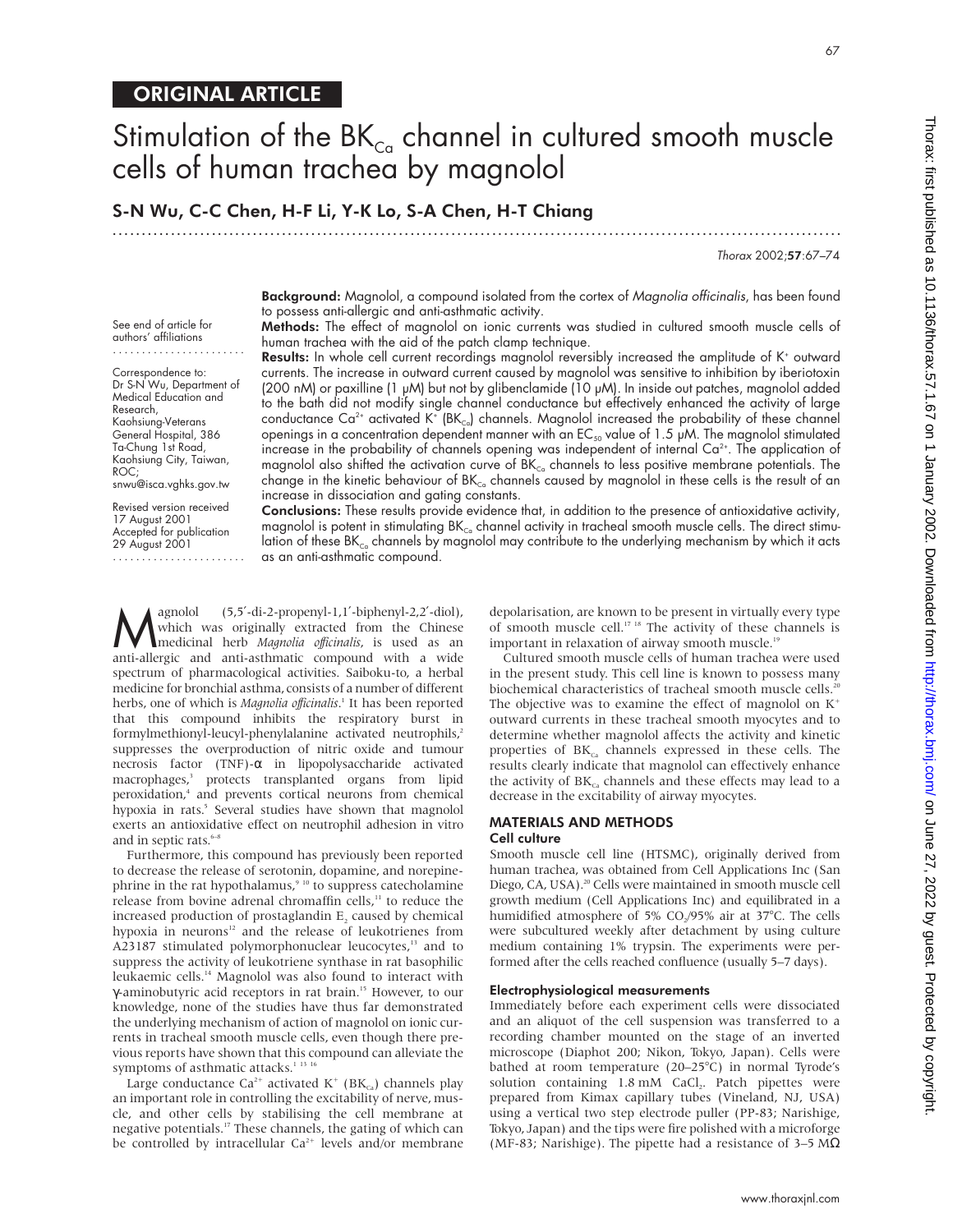# Stimulation of the  $BK_{\text{ca}}$  channel in cultured smooth muscle cells of human trachea by magnolol

.............................................................................................................................

S-N Wu, C-C Chen, H-F Li, Y-K Lo, S-A Chen, H-T Chiang

Thorax 2002;57:67–74

Background: Magnolol, a compound isolated from the cortex of Magnolia officinalis, has been found to possess anti-allergic and anti-asthmatic activity.

Methods: The effect of magnolol on ionic currents was studied in cultured smooth muscle cells of human trachea with the aid of the patch clamp technique.

Results: In whole cell current recordings magnolol reversibly increased the amplitude of K<sup>+</sup> outward currents. The increase in outward current caused by magnolol was sensitive to inhibition by iberiotoxin (200 nM) or paxilline (1 µM) but not by glibenclamide (10 µM). In inside out patches, magnolol added to the bath did not modify single channel conductance but effectively enhanced the activity of large conductance Ca<sup>2+</sup> activated K<sup>+</sup> (BK<sub>ca</sub>) channels. Magnolol increased the probability of these channel openings in a concentration dependent manner with an  $EC_{50}$  value of 1.5  $\mu$ M. The magnolol stimulated increase in the probability of channels opening was independent of internal Ca<sup>2+</sup>. The application of magnolol also shifted the activation curve of  $BK_{C_0}$  channels to less positive membrane potentials. The change in the kinetic behaviour of  $BK_{\text{Co}}$  channels caused by magnolol in these cells is the result of an increase in dissociation and gating constants.

Conclusions: These results provide evidence that, in addition to the presence of antioxidative activity, magnolol is potent in stimulating  $BK_{\text{c}a}$  channel activity in tracheal smooth muscle cells. The direct stimulation of these BK $_{c}$  channels by magnolol may contribute to the underlying mechanism by which it acts as an anti-asthmatic compound.

Magnolol (5,5<sup>7</sup>-di-2-propenyl-1,1<sup>7</sup>-biphenyl-2,2<sup>7</sup>-diol),<br>
medicinal herb *Magnolia officinalis*, is used as an<br>
anti-allergic and anti-asthmatic compound with a wide which was originally extracted from the Chinese anti-allergic and anti-asthmatic compound with a wide spectrum of pharmacological activities. Saiboku-to, a herbal medicine for bronchial asthma, consists of a number of different herbs, one of which is *Magnolia officinalis*.<sup>1</sup> It has been reported that this compound inhibits the respiratory burst in that this compound inhibits the respiratory burst in formylmethionyl-leucyl-phenylalanine activated neutrophils,<sup>2</sup> suppresses the overproduction of nitric oxide and tumour necrosis factor (TNF)-α in lipopolysaccharide activated macrophages,<sup>3</sup> protects transplanted organs from lipid peroxidation,<sup>4</sup> and prevents cortical neurons from chemical hypoxia in rats.<sup>5</sup> Several studies have shown that magnolol exerts an antioxidative effect on neutrophil adhesion in vitro and in septic rats.<sup>6–8</sup>

Furthermore, this compound has previously been reported to decrease the release of serotonin, dopamine, and norepinephrine in the rat hypothalamus,<sup>9 10</sup> to suppress catecholamine release from bovine adrenal chromaffin cells,<sup>11</sup> to reduce the increased production of prostaglandin E<sub>2</sub> caused by chemical hypoxia in neurons<sup>12</sup> and the release of leukotrienes from A23187 stimulated polymorphonuclear leucocytes,<sup>13</sup> and to suppress the activity of leukotriene synthase in rat basophilic leukaemic cells.14 Magnolol was also found to interact with γ-aminobutyric acid receptors in rat brain.<sup>15</sup> However, to our knowledge, none of the studies have thus far demonstrated the underlying mechanism of action of magnolol on ionic currents in tracheal smooth muscle cells, even though there previous reports have shown that this compound can alleviate the symptoms of asthmatic attacks.<sup>1</sup><sup>13</sup><sup>16</sup>

Large conductance Ca<sup>2+</sup> activated K<sup>+</sup> (BK<sub>ca</sub>) channels play an important role in controlling the excitability of nerve, muscle, and other cells by stabilising the cell membrane at negative potentials.17 These channels, the gating of which can be controlled by intracellular  $Ca^{2+}$  levels and/or membrane

depolarisation, are known to be present in virtually every type of smooth muscle cell.<sup>17 18</sup> The activity of these channels is important in relaxation of airway smooth muscle.<sup>19</sup>

Cultured smooth muscle cells of human trachea were used in the present study. This cell line is known to possess many biochemical characteristics of tracheal smooth muscle cells.<sup>20</sup> The objective was to examine the effect of magnolol on  $K^+$ outward currents in these tracheal smooth myocytes and to determine whether magnolol affects the activity and kinetic properties of  $BK<sub>Ca</sub>$  channels expressed in these cells. The results clearly indicate that magnolol can effectively enhance the activity of  $BK_{ca}$  channels and these effects may lead to a decrease in the excitability of airway myocytes.

#### MATERIALS AND METHODS Cell culture

Smooth muscle cell line (HTSMC), originally derived from human trachea, was obtained from Cell Applications Inc (San Diego, CA, USA).<sup>20</sup> Cells were maintained in smooth muscle cell growth medium (Cell Applications Inc) and equilibrated in a humidified atmosphere of 5% CO<sub>2</sub>/95% air at 37°C. The cells were subcultured weekly after detachment by using culture medium containing 1% trypsin. The experiments were performed after the cells reached confluence (usually 5–7 days).

## Electrophysiological measurements

Immediately before each experiment cells were dissociated and an aliquot of the cell suspension was transferred to a recording chamber mounted on the stage of an inverted microscope (Diaphot 200; Nikon, Tokyo, Japan). Cells were bathed at room temperature (20–25°C) in normal Tyrode's solution containing 1.8 mM CaCl<sub>2</sub>. Patch pipettes were prepared from Kimax capillary tubes (Vineland, NJ, USA) using a vertical two step electrode puller (PP-83; Narishige, Tokyo, Japan) and the tips were fire polished with a microforge (MF-83; Narishige). The pipette had a resistance of 3–5 M $\Omega$ 

See end of article for authors' affiliations .......................

Correspondence to: Dr S-N Wu, Department of Medical Education and Research, Kaohsiung-Veterans General Hospital, 386 Ta-Chung 1st Road, Kaohsiung City, Taiwan, ROC; snwu@isca.vghks.gov.tw

Revised version received

17 August 2001 Accepted for publication 29 August 2001 .......................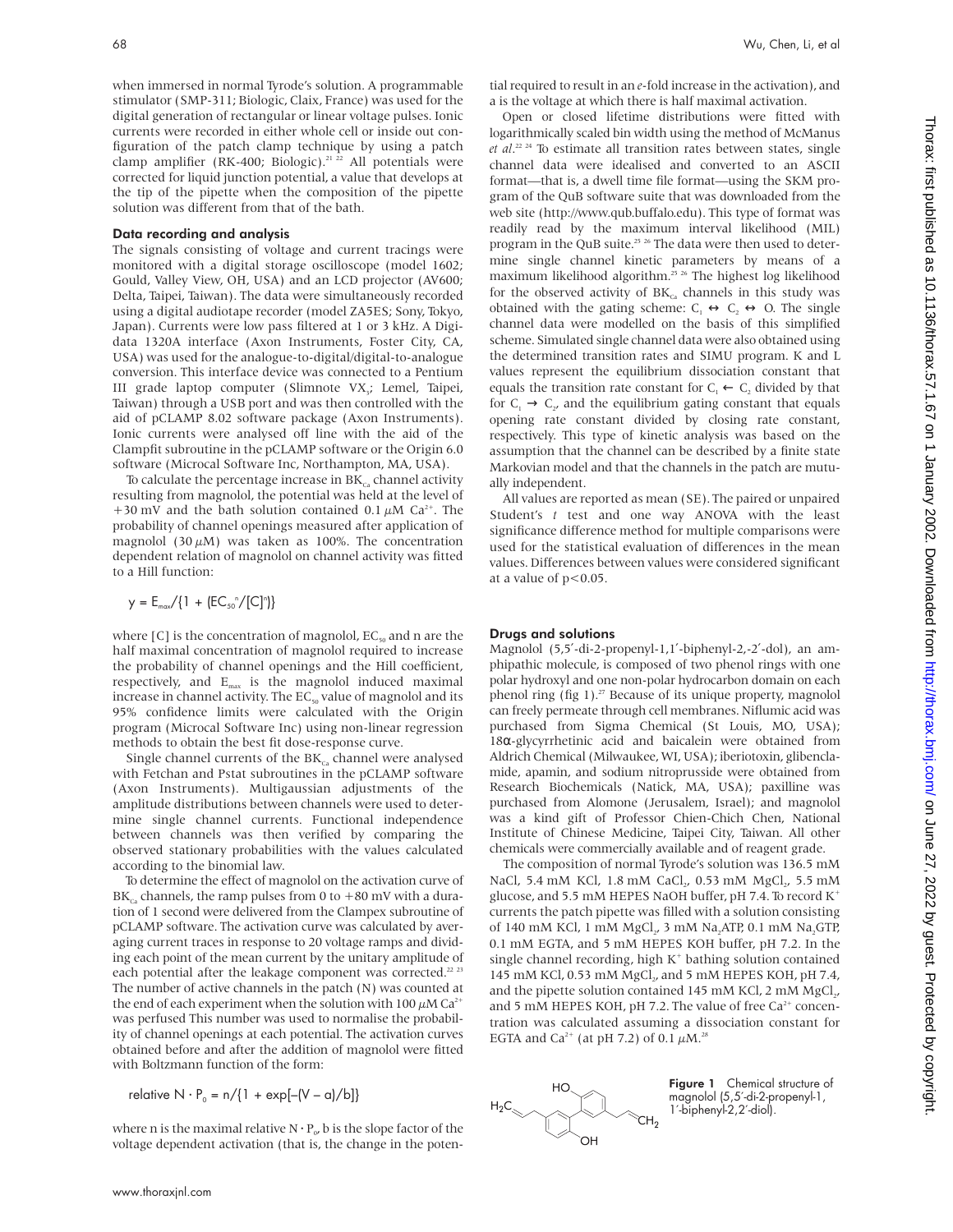when immersed in normal Tyrode's solution. A programmable stimulator (SMP-311; Biologic, Claix, France) was used for the digital generation of rectangular or linear voltage pulses. Ionic currents were recorded in either whole cell or inside out configuration of the patch clamp technique by using a patch clamp amplifier (RK-400; Biologic).<sup>21 22</sup> All potentials were corrected for liquid junction potential, a value that develops at the tip of the pipette when the composition of the pipette solution was different from that of the bath.

#### Data recording and analysis

The signals consisting of voltage and current tracings were monitored with a digital storage oscilloscope (model 1602; Gould, Valley View, OH, USA) and an LCD projector (AV600; Delta, Taipei, Taiwan). The data were simultaneously recorded using a digital audiotape recorder (model ZA5ES; Sony, Tokyo, Japan). Currents were low pass filtered at 1 or 3 kHz. A Digidata 1320A interface (Axon Instruments, Foster City, CA, USA) was used for the analogue-to-digital/digital-to-analogue conversion. This interface device was connected to a Pentium III grade laptop computer (Slimnote VX<sub>3</sub>; Lemel, Taipei, Taiwan) through a USB port and was then controlled with the aid of pCLAMP 8.02 software package (Axon Instruments). Ionic currents were analysed off line with the aid of the Clampfit subroutine in the pCLAMP software or the Origin 6.0 software (Microcal Software Inc, Northampton, MA, USA).

To calculate the percentage increase in  $BK_{Ca}$  channel activity resulting from magnolol, the potential was held at the level of +30 mV and the bath solution contained 0.1  $\mu$ M Ca<sup>2+</sup>. The probability of channel openings measured after application of magnolol (30  $\mu$ M) was taken as 100%. The concentration dependent relation of magnolol on channel activity was fitted to a Hill function:

$$
y = E_{max}/\{1 + (EC_{50}^{\circ}/[C]^n)\}\
$$

where  $[C]$  is the concentration of magnolol,  $EC_{50}$  and n are the half maximal concentration of magnolol required to increase the probability of channel openings and the Hill coefficient, respectively, and  $E_{max}$  is the magnolol induced maximal increase in channel activity. The  $EC_{50}$  value of magnolol and its 95% confidence limits were calculated with the Origin program (Microcal Software Inc) using non-linear regression methods to obtain the best fit dose-response curve.

Single channel currents of the  $BK_{Ca}$  channel were analysed with Fetchan and Pstat subroutines in the pCLAMP software (Axon Instruments). Multigaussian adjustments of the amplitude distributions between channels were used to determine single channel currents. Functional independence between channels was then verified by comparing the observed stationary probabilities with the values calculated according to the binomial law.

To determine the effect of magnolol on the activation curve of  $BK_{c}$  channels, the ramp pulses from 0 to +80 mV with a duration of 1 second were delivered from the Clampex subroutine of pCLAMP software. The activation curve was calculated by averaging current traces in response to 20 voltage ramps and dividing each point of the mean current by the unitary amplitude of each potential after the leakage component was corrected.<sup>22</sup> <sup>23</sup> The number of active channels in the patch (N) was counted at the end of each experiment when the solution with 100  $\mu$ M Ca<sup>2+</sup> was perfused This number was used to normalise the probability of channel openings at each potential. The activation curves obtained before and after the addition of magnolol were fitted with Boltzmann function of the form:

$$
relative N \cdot P_0 = n / \{1 + exp[-(V - \alpha) / b]\}
$$

where n is the maximal relative  $N \cdot P_{\alpha}$ , b is the slope factor of the voltage dependent activation (that is, the change in the potential required to result in an *e*-fold increase in the activation), and a is the voltage at which there is half maximal activation.

Open or closed lifetime distributions were fitted with logarithmically scaled bin width using the method of McManus *et al.*<sup>22</sup> <sup>24</sup> To estimate all transition rates between states, single<br>channel data were idealised and converted to an ASCU channel data were idealised and converted to an ASCII format—that is, a dwell time file format—using the SKM program of the QuB software suite that was downloaded from the web site (http://www.qub.buffalo.edu). This type of format was readily read by the maximum interval likelihood (MIL) program in the QuB suite.<sup>25</sup> <sup>26</sup> The data were then used to determine single channel kinetic parameters by means of a maximum likelihood algorithm.25 26 The highest log likelihood for the observed activity of  $BK_{Ca}$  channels in this study was obtained with the gating scheme:  $C_1 \leftrightarrow C_2 \leftrightarrow O$ . The single channel data were modelled on the basis of this simplified scheme. Simulated single channel data were also obtained using the determined transition rates and SIMU program. K and L values represent the equilibrium dissociation constant that equals the transition rate constant for  $C_1 \leftarrow C_2$  divided by that for  $C_1 \rightarrow C_2$ , and the equilibrium gating constant that equals opening rate constant divided by closing rate constant, respectively. This type of kinetic analysis was based on the assumption that the channel can be described by a finite state Markovian model and that the channels in the patch are mutually independent.

All values are reported as mean (SE). The paired or unpaired Student's *t* test and one way ANOVA with the least significance difference method for multiple comparisons were used for the statistical evaluation of differences in the mean values. Differences between values were considered significant at a value of  $p < 0.05$ .

#### Drugs and solutions

Magnolol (5,5′-di-2-propenyl-1,1′-biphenyl-2,-2′-dol), an amphipathic molecule, is composed of two phenol rings with one polar hydroxyl and one non-polar hydrocarbon domain on each phenol ring (fig  $1$ ).<sup>27</sup> Because of its unique property, magnolol can freely permeate through cell membranes. Niflumic acid was purchased from Sigma Chemical (St Louis, MO, USA); 18α-glycyrrhetinic acid and baicalein were obtained from Aldrich Chemical (Milwaukee, WI, USA); iberiotoxin, glibenclamide, apamin, and sodium nitroprusside were obtained from Research Biochemicals (Natick, MA, USA); paxilline was purchased from Alomone (Jerusalem, Israel); and magnolol was a kind gift of Professor Chien-Chich Chen, National Institute of Chinese Medicine, Taipei City, Taiwan. All other chemicals were commercially available and of reagent grade.

The composition of normal Tyrode's solution was 136.5 mM NaCl, 5.4 mM KCl, 1.8 mM CaCl<sub>2</sub>, 0.53 mM MgCl<sub>2</sub>, 5.5 mM glucose, and 5.5 mM HEPES NaOH buffer, pH 7.4. To record K+ currents the patch pipette was filled with a solution consisting of 140 mM KCl, 1 mM MgCl., 3 mM Na, ATP, 0.1 mM Na, GTP, 0.1 mM EGTA, and 5 mM HEPES KOH buffer, pH 7.2. In the single channel recording, high  $K^+$  bathing solution contained 145 mM KCl, 0.53 mM MgCl<sub>2</sub>, and 5 mM HEPES KOH, pH 7.4, and the pipette solution contained 145 mM KCl, 2 mM MgCl,, and 5 mM HEPES KOH, pH 7.2. The value of free  $Ca^{2+}$  concentration was calculated assuming a dissociation constant for EGTA and Ca<sup>2+</sup> (at pH 7.2) of 0.1  $\mu$ M.<sup>28</sup>



Figure 1 Chemical structure of magnolol (5,5′-di-2-propenyl-1, 1′-biphenyl-2,2′-diol).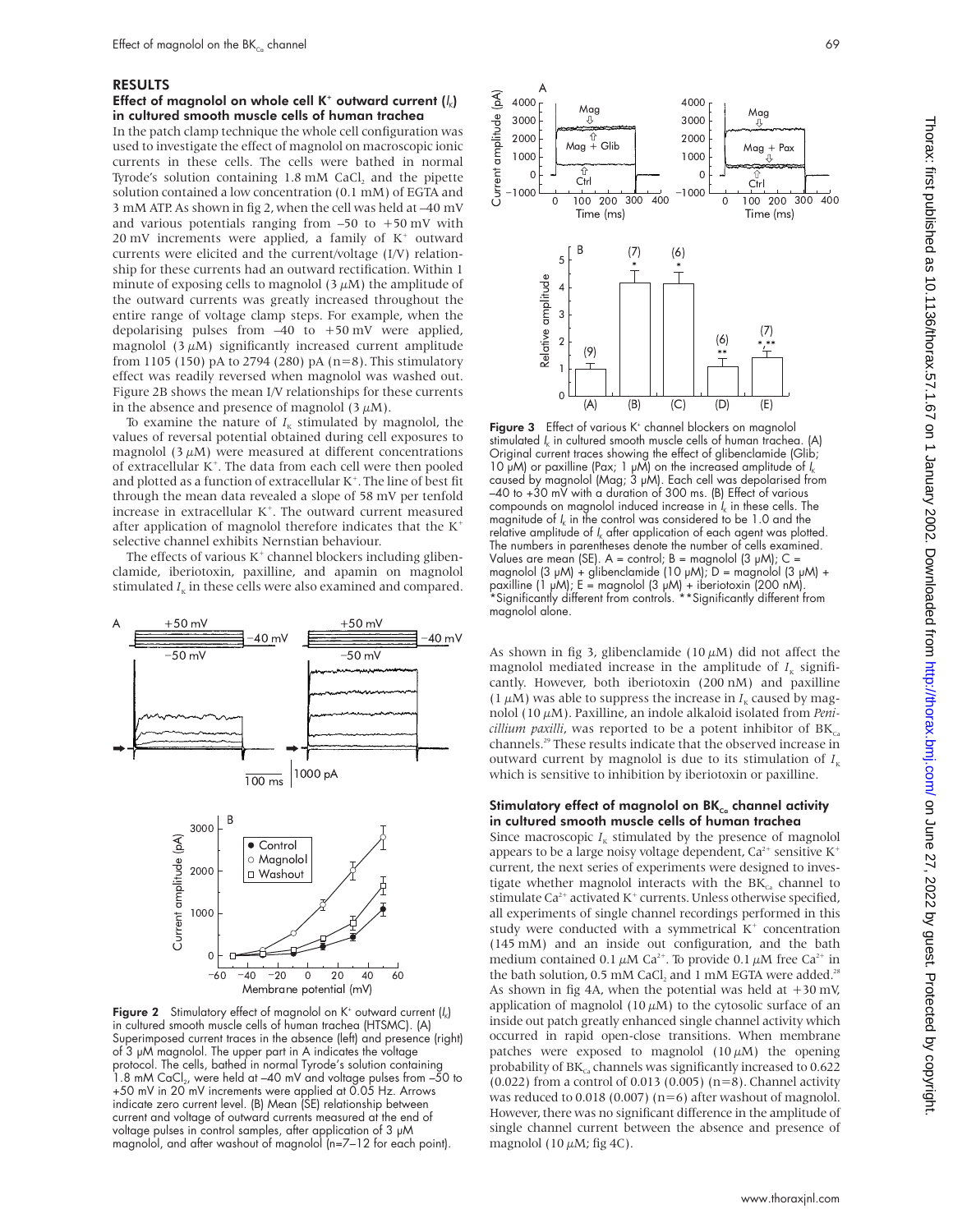# RESULTS

# Effect of magnolol on whole cell K<sup>+</sup> outward current  $(I_k)$ in cultured smooth muscle cells of human trachea

In the patch clamp technique the whole cell configuration was used to investigate the effect of magnolol on macroscopic ionic currents in these cells. The cells were bathed in normal Tyrode's solution containing  $1.8 \text{ mM }$  CaCl<sub>2</sub> and the pipette solution contained a low concentration (0.1 mM) of EGTA and 3 mM ATP. As shown in fig 2, when the cell was held at –40 mV and various potentials ranging from  $-50$  to  $+50$  mV with 20 mV increments were applied, a family of  $K^+$  outward currents were elicited and the current/voltage (I/V) relationship for these currents had an outward rectification. Within 1 minute of exposing cells to magnolol  $(3 \mu M)$  the amplitude of the outward currents was greatly increased throughout the entire range of voltage clamp steps. For example, when the depolarising pulses from –40 to +50 mV were applied, magnolol  $(3 \mu M)$  significantly increased current amplitude from 1105 (150) pA to 2794 (280) pA  $(n=8)$ . This stimulatory effect was readily reversed when magnolol was washed out. Figure 2B shows the mean I/V relationships for these currents in the absence and presence of magnolol  $(3 \mu M)$ .

To examine the nature of  $I<sub>K</sub>$  stimulated by magnolol, the values of reversal potential obtained during cell exposures to magnolol  $(3 \mu M)$  were measured at different concentrations of extracellular K<sup>+</sup>. The data from each cell were then pooled and plotted as a function of extracellular  $K^+$ . The line of best fit through the mean data revealed a slope of 58 mV per tenfold increase in extracellular K<sup>+</sup>. The outward current measured after application of magnolol therefore indicates that the  $K^+$ selective channel exhibits Nernstian behaviour.

The effects of various  $K^+$  channel blockers including glibenclamide, iberiotoxin, paxilline, and apamin on magnolol stimulated  $I<sub>k</sub>$  in these cells were also examined and compared.



Figure 2 Stimulatory effect of magnolol on  $K^*$  outward current  $\left\{I_k\right\}$ in cultured smooth muscle cells of human trachea (HTSMC). (A) Superimposed current traces in the absence (left) and presence (right) of 3 µM magnolol. The upper part in A indicates the voltage protocol. The cells, bathed in normal Tyrode's solution containing  $1.8$  mM CaCl<sub>2</sub>, were held at  $-40$  mV and voltage pulses from  $-50$  to +50 mV in 20 mV increments were applied at 0.05 Hz. Arrows indicate zero current level. (B) Mean (SE) relationship between current and voltage of outward currents measured at the end of voltage pulses in control samples, after application of 3 µM magnolol, and after washout of magnolol (n=7–12 for each point).





Figure 3 Effect of various K<sup>+</sup> channel blockers on magnolol stimulated  $I_k$  in cultured smooth muscle cells of human trachea. (A) Original current traces showing the effect of glibenclamide (Glib; 10 μM) or paxilline (Pax; 1 μM) on the increased amplitude of I<sub>k</sub><br>caused by magnolol (Mag; 3 μM). Each cell was depolarised from  $-40$  to  $+30$  mV with a duration of 300 ms. (B) Effect of various compounds on magnolol induced increase in  $I_{k}$  in these cells. The magnitude of  $I_k$  in the control was considered to be 1.0 and the relative amplitude of  $I_k$  after application of each agent was plotted. The numbers in parentheses denote the number of cells examined. Values are mean (SE).  $A =$  control;  $B =$  magnolol (3  $\mu$ M);  $C =$ magnolol (3 µM) + glibenclamide (10 µM); D = magnolol (3 µM) + paxilline (1 µM); E = magnolol (3 µM) + iberiotoxin (200 nM). \*Significantly different from controls. \*\*Significantly different from magnolol alone.

As shown in fig 3, glibenclamide (10  $\mu$ M) did not affect the magnolol mediated increase in the amplitude of  $I_K$  significantly. However, both iberiotoxin (200 nM) and paxilline (1  $\mu$ M) was able to suppress the increase in  $I<sub>K</sub>$  caused by magnolol (10 µM). Paxilline, an indole alkaloid isolated from *Penicillium paxilli*, was reported to be a potent inhibitor of  $BK_{ca}$ channels.29 These results indicate that the observed increase in outward current by magnolol is due to its stimulation of  $I_{K}$ which is sensitive to inhibition by iberiotoxin or paxilline.

## Stimulatory effect of magnolol on  $BK_{c<sub>a</sub>}$  channel activity in cultured smooth muscle cells of human trachea

Since macroscopic  $I_K$  stimulated by the presence of magnolol appears to be a large noisy voltage dependent,  $Ca^{2+}$  sensitive  $K^+$ current, the next series of experiments were designed to investigate whether magnolol interacts with the  $BK<sub>cs</sub>$  channel to stimulate  $Ca^{2+}$  activated K<sup>+</sup> currents. Unless otherwise specified, all experiments of single channel recordings performed in this study were conducted with a symmetrical  $K^+$  concentration (145 mM) and an inside out configuration, and the bath medium contained 0.1  $\mu$ M Ca<sup>2+</sup>. To provide 0.1  $\mu$ M free Ca<sup>2+</sup> in the bath solution, 0.5 mM CaCl, and 1 mM EGTA were added.<sup>28</sup> As shown in fig 4A, when the potential was held at  $+30$  mV, application of magnolol (10  $\mu$ M) to the cytosolic surface of an inside out patch greatly enhanced single channel activity which occurred in rapid open-close transitions. When membrane patches were exposed to magnolol  $(10 \mu M)$  the opening probability of  $BK_{ca}$  channels was significantly increased to 0.622 (0.022) from a control of 0.013 (0.005) (n=8). Channel activity was reduced to  $0.018$  (0.007) (n=6) after washout of magnolol. However, there was no significant difference in the amplitude of single channel current between the absence and presence of magnolol (10  $\mu$ M; fig 4C).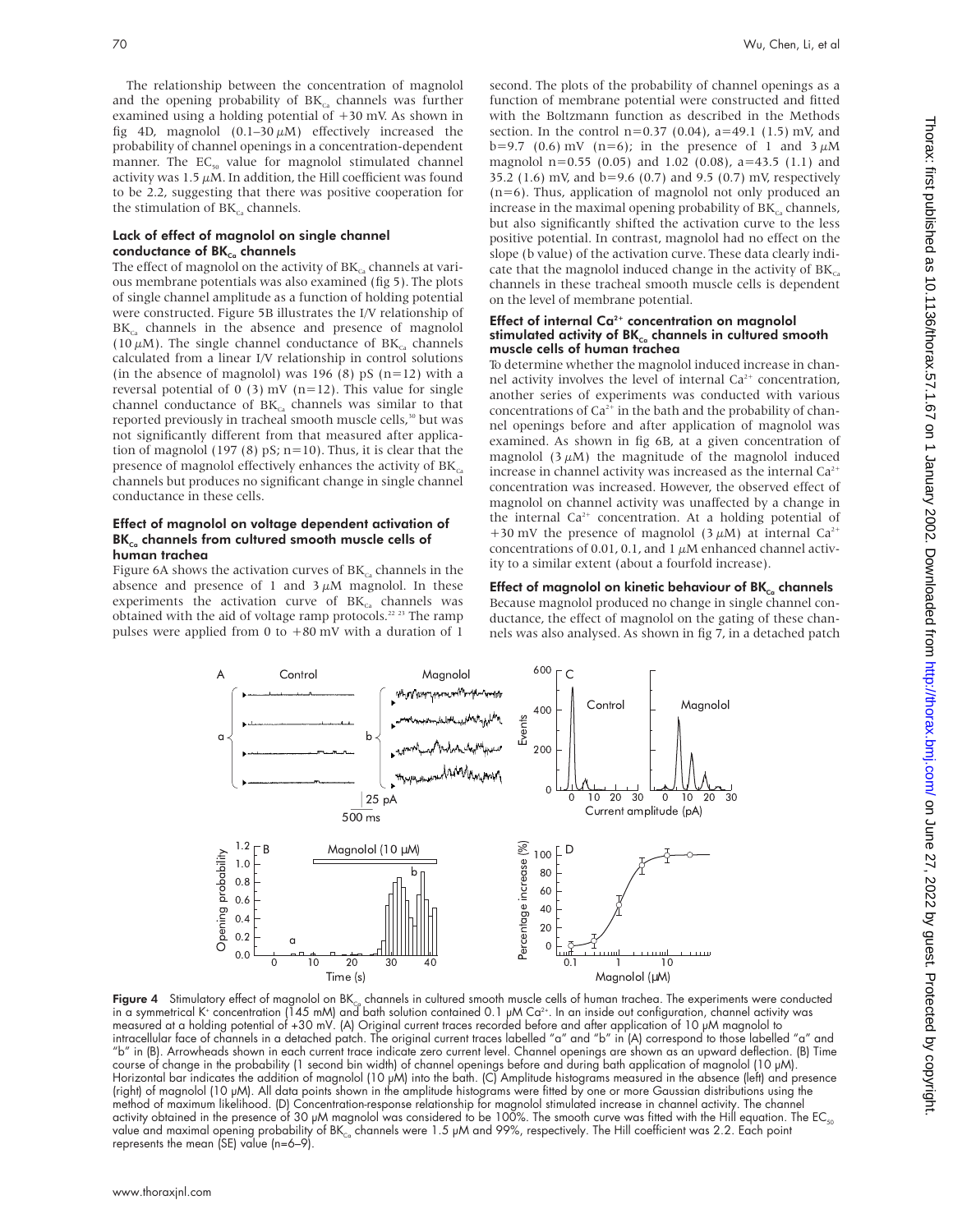The relationship between the concentration of magnolol and the opening probability of  $BK_{Ca}$  channels was further examined using a holding potential of +30 mV. As shown in fig 4D, magnolol  $(0.1-30 \mu M)$  effectively increased the probability of channel openings in a concentration-dependent manner. The  $EC_{50}$  value for magnolol stimulated channel activity was 1.5  $\mu$ M. In addition, the Hill coefficient was found to be 2.2, suggesting that there was positive cooperation for the stimulation of  $BK<sub>c</sub>$ , channels.

## Lack of effect of magnolol on single channel conductance of  $BK_{c}$  channels

The effect of magnolol on the activity of  $BK_{c}$  channels at various membrane potentials was also examined (fig 5). The plots of single channel amplitude as a function of holding potential were constructed. Figure 5B illustrates the I/V relationship of  $BK<sub>c</sub>$ , channels in the absence and presence of magnolol (10  $\mu$ M). The single channel conductance of BK<sub>ca</sub> channels calculated from a linear I/V relationship in control solutions (in the absence of magnolol) was 196 (8) pS  $(n=12)$  with a reversal potential of 0 (3) mV ( $n=12$ ). This value for single channel conductance of  $BK_{ca}$  channels was similar to that reported previously in tracheal smooth muscle cells,<sup>30</sup> but was not significantly different from that measured after application of magnolol (197 (8)  $pS$ ; n=10). Thus, it is clear that the presence of magnolol effectively enhances the activity of  $BK<sub>co</sub>$ channels but produces no significant change in single channel conductance in these cells.

### Effect of magnolol on voltage dependent activation of  $BK_{c}$  channels from cultured smooth muscle cells of human trachea

Figure 6A shows the activation curves of  $BK<sub>cs</sub>$  channels in the absence and presence of 1 and  $3 \mu$ M magnolol. In these experiments the activation curve of  $BK_{ca}$  channels was obtained with the aid of voltage ramp protocols.<sup>22</sup> <sup>23</sup> The ramp pulses were applied from 0 to  $+80$  mV with a duration of 1 second. The plots of the probability of channel openings as a function of membrane potential were constructed and fitted with the Boltzmann function as described in the Methods section. In the control  $n=0.37$  (0.04),  $a=49.1$  (1.5) mV, and b=9.7 (0.6) mV (n=6); in the presence of 1 and  $3 \mu$ M magnolol n=0.55 (0.05) and 1.02 (0.08), a=43.5 (1.1) and 35.2 (1.6) mV, and b=9.6 (0.7) and 9.5 (0.7) mV, respectively  $(n=6)$ . Thus, application of magnolol not only produced an increase in the maximal opening probability of  $BK_{\text{ca}}$  channels, but also significantly shifted the activation curve to the less positive potential. In contrast, magnolol had no effect on the slope (b value) of the activation curve. These data clearly indicate that the magnolol induced change in the activity of  $BK_{ca}$ channels in these tracheal smooth muscle cells is dependent on the level of membrane potential.

#### Effect of internal  $Ca<sup>2+</sup>$  concentration on magnolol stimulated activity of  $BK_{c}$  channels in cultured smooth muscle cells of human trachea

To determine whether the magnolol induced increase in channel activity involves the level of internal  $Ca^{2+}$  concentration, another series of experiments was conducted with various concentrations of  $Ca^{2+}$  in the bath and the probability of channel openings before and after application of magnolol was examined. As shown in fig 6B, at a given concentration of magnolol  $(3 \mu M)$  the magnitude of the magnolol induced increase in channel activity was increased as the internal  $Ca^{2+}$ concentration was increased. However, the observed effect of magnolol on channel activity was unaffected by a change in the internal  $Ca^{2+}$  concentration. At a holding potential of +30 mV the presence of magnolol (3  $\mu$ M) at internal Ca<sup>2+</sup> concentrations of 0.01, 0.1, and 1  $\mu$ M enhanced channel activity to a similar extent (about a fourfold increase).

# Effect of magnolol on kinetic behaviour of  $BK_{\text{cc}}$  channels

Because magnolol produced no change in single channel conductance, the effect of magnolol on the gating of these channels was also analysed. As shown in fig 7, in a detached patch



Figure 4 Stimulatory effect of magnolol on BK<sub>Ca</sub> channels in cultured smooth muscle cells of human trachea. The experiments were conducted in a symmetrical K\* concentration (145 mM) and bath solution contained 0.1 µM Ca<sup>2+</sup>. In an inside out configuration, channel activity was measured at a holding potential of +30 mV. (A) Original current traces recorded before and after application of 10 µM magnolol to intracellular face of channels in a detached patch. The original current traces labelled "a" and "b" in (A) correspond to those labelled "a" and "b" in (B). Arrowheads shown in each current trace indicate zero current level. Channel openings are shown as an upward deflection. (B) Time course of change in the probability (1 second bin width) of channel openings before and during bath application of magnolol (10 µM). Horizontal bar indicates the addition of magnolol (10 µM) into the bath. (C) Amplitude histograms measured in the absence (left) and presence (right) of magnolol (10 µM). All data points shown in the amplitude histograms were fitted by one or more Gaussian distributions using the method of maximum likelihood. (D) Concentration-response relationship for magnolol stimulated increase in channel activity. The channel activity obtained in the presence of 30  $\mu$ M magnolol was considered to be 100%. The smooth curve was fitted with the Hill equation. The EC<sub>50</sub> value and maximal opening probability of BK<sub>ca</sub> channels were 1.5  $\mu$ M and 99%, respectively. The Hill coefficient was 2.2. Each point represents the mean (SE) value (n=6–9).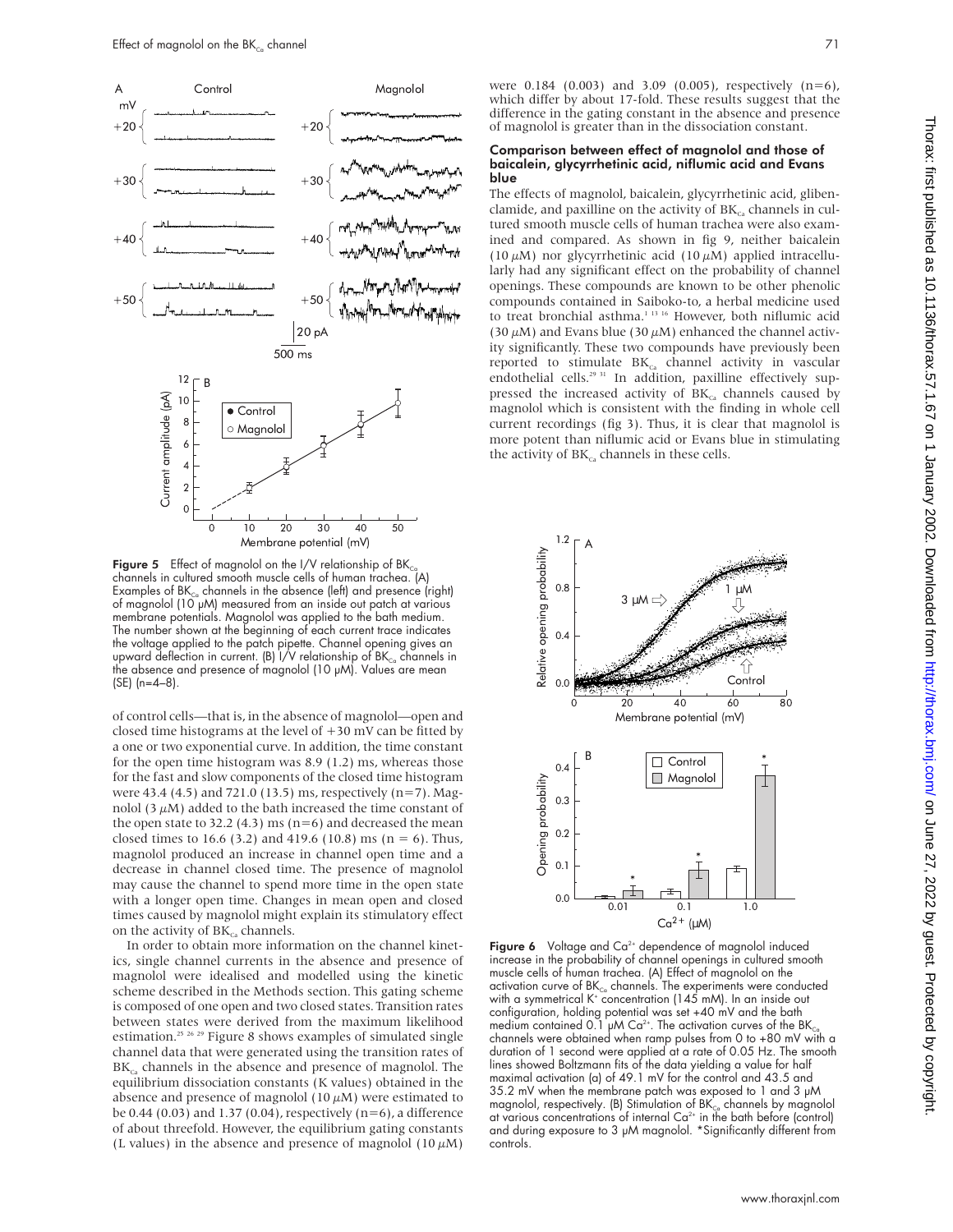

Figure 5 Effect of magnolol on the I/V relationship of  $BK_{C}$ channels in cultured smooth muscle cells of human trachea. (A) Examples of  $BK_{\text{Ca}}$  channels in the absence (left) and presence (right) of magnolol  $(10^{\circ}$ µM) measured from an inside out patch at various membrane potentials. Magnolol was applied to the bath medium. The number shown at the beginning of each current trace indicates the voltage applied to the patch pipette. Channel opening gives an upward deflection in current. (B) I/V relationship of BK $_{\rm c_a}$  channels in the absence and presence of magnolol (10 µM). Values are mean (SE) (n=4–8).

of control cells—that is, in the absence of magnolol—open and closed time histograms at the level of  $+30$  mV can be fitted by a one or two exponential curve. In addition, the time constant for the open time histogram was 8.9 (1.2) ms, whereas those for the fast and slow components of the closed time histogram were 43.4 (4.5) and 721.0 (13.5) ms, respectively (n=7). Magnolol  $(3 \mu M)$  added to the bath increased the time constant of the open state to 32.2 (4.3) ms ( $n=6$ ) and decreased the mean closed times to 16.6 (3.2) and 419.6 (10.8) ms ( $n = 6$ ). Thus, magnolol produced an increase in channel open time and a decrease in channel closed time. The presence of magnolol may cause the channel to spend more time in the open state with a longer open time. Changes in mean open and closed times caused by magnolol might explain its stimulatory effect on the activity of  $BK_{c}$  channels.

In order to obtain more information on the channel kinetics, single channel currents in the absence and presence of magnolol were idealised and modelled using the kinetic scheme described in the Methods section. This gating scheme is composed of one open and two closed states. Transition rates between states were derived from the maximum likelihood estimation.<sup>25 26</sup> <sup>29</sup> Figure 8 shows examples of simulated single channel data that were generated using the transition rates of  $BK_{c}$  channels in the absence and presence of magnolol. The equilibrium dissociation constants (K values) obtained in the absence and presence of magnolol (10  $\mu{\rm M}$ ) were estimated to be 0.44 (0.03) and 1.37 (0.04), respectively ( $n=6$ ), a difference of about threefold. However, the equilibrium gating constants (L values) in the absence and presence of magnolol (10  $\mu$ M)

were 0.184 (0.003) and 3.09 (0.005), respectively (n=6), which differ by about 17-fold. These results suggest that the difference in the gating constant in the absence and presence of magnolol is greater than in the dissociation constant.

#### Comparison between effect of magnolol and those of baicalein, glycyrrhetinic acid, niflumic acid and Evans blue

The effects of magnolol, baicalein, glycyrrhetinic acid, glibenclamide, and paxilline on the activity of  $BK<sub>c</sub>$ , channels in cultured smooth muscle cells of human trachea were also examined and compared. As shown in fig 9, neither baicalein (10  $\mu$ M) nor glycyrrhetinic acid (10  $\mu$ M) applied intracellularly had any significant effect on the probability of channel openings. These compounds are known to be other phenolic compounds contained in Saiboko-to, a herbal medicine used to treat bronchial asthma.<sup>1 13 16</sup> However, both niflumic acid (30  $\mu$ M) and Evans blue (30  $\mu$ M) enhanced the channel activity significantly. These two compounds have previously been reported to stimulate  $BK_{Ca}$  channel activity in vascular endothelial cells.<sup>29 31</sup> In addition, paxilline effectively suppressed the increased activity of  $BK<sub>ca</sub>$  channels caused by magnolol which is consistent with the finding in whole cell current recordings (fig 3). Thus, it is clear that magnolol is more potent than niflumic acid or Evans blue in stimulating the activity of  $BK_{ca}$  channels in these cells.



Figure 6 Voltage and  $Ca^{2+}$  dependence of magnolol induced increase in the probability of channel openings in cultured smooth muscle cells of human trachea. (A) Effect of magnolol on the activation curve of  $BK_{\text{Co}}$  channels. The experiments were conducted with a symmetrical  $K^+$  concentration (145 mM). In an inside out configuration, holding potential was set +40 mV and the bath medium contained 0.1 µM Ca<sup>2+</sup>. The activation curves of the BK $_{\rm Ca}$ channels were obtained when ramp pulses from 0 to +80 mV with a duration of 1 second were applied at a rate of 0.05 Hz. The smooth lines showed Boltzmann fits of the data yielding a value for half maximal activation (a) of 49.1 mV for the control and 43.5 and 35.2 mV when the membrane patch was exposed to 1 and 3 µM magnolol, respectively. (B) Stimulation of  $BK_{c}$  channels by magnolol at various concentrations of internal  $Ca<sup>2+</sup>$  in the bath before (control) and during exposure to 3 µM magnolol. \*Significantly different from controls.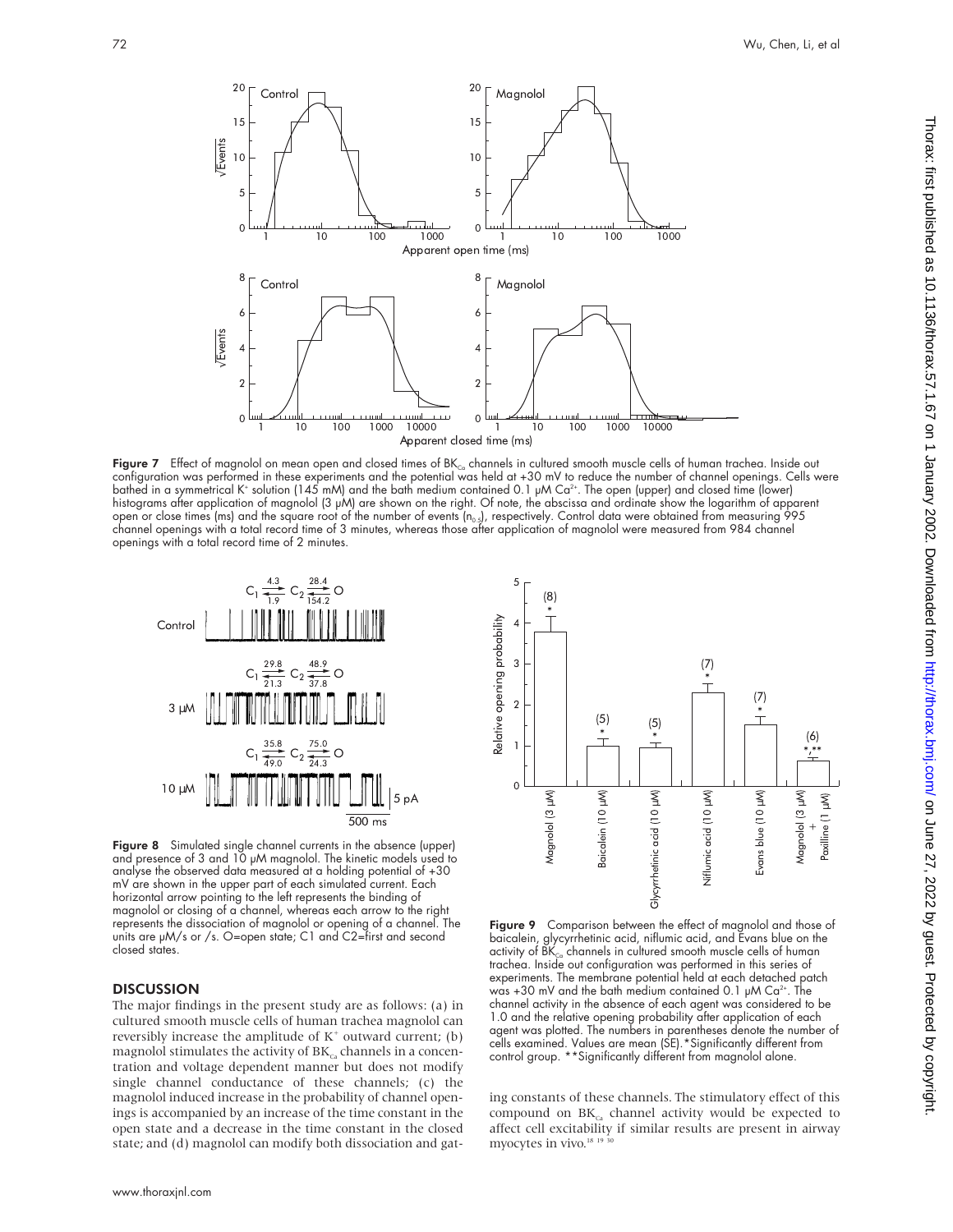

Figure 7 Effect of magnolol on mean open and closed times of  $BK_{ca}$  channels in cultured smooth muscle cells of human trachea. Inside out configuration was performed in these experiments and the potential was held at +30 mV to reduce the number of channel openings. Cells were bathed in a symmetrical K+ solution (145 mM) and the bath medium contained 0.1 µM Ca2+. The open (upper) and closed time (lower) histograms after application of magnolol (3 µM) are shown on the right. Of note, the abscissa and ordinate show the logarithm of apparent open or close times (ms) and the square root of the number of events (n<sub>o.s</sub>), respectively. Control data were obtained from measuring 995<br>channel openings with a total record time of 3 minutes, whereas those after applica openings with a total record time of 2 minutes.



Figure 8 Simulated single channel currents in the absence (upper) and presence of 3 and 10 µM magnolol. The kinetic models used to analyse the observed data measured at a holding potential of +30 mV are shown in the upper part of each simulated current. Each horizontal arrow pointing to the left represents the binding of magnolol or closing of a channel, whereas each arrow to the right represents the dissociation of magnolol or opening of a channel. The units are µM/s or /s. O=open state; C1 and C2=first and second closed states.

### **DISCUSSION**

The major findings in the present study are as follows: (a) in cultured smooth muscle cells of human trachea magnolol can reversibly increase the amplitude of  $K^+$  outward current; (b) magnolol stimulates the activity of  $BK_{ca}$  channels in a concentration and voltage dependent manner but does not modify single channel conductance of these channels; (c) the magnolol induced increase in the probability of channel openings is accompanied by an increase of the time constant in the open state and a decrease in the time constant in the closed state; and (d) magnolol can modify both dissociation and gat-





Figure 9 Comparison between the effect of magnolol and those of<br>baicalein, alvoyrrhetinic acid, niflumic acid, and Evans blue on the glycyrrhetinic acid, niflumic acid, and Evans blue on the activity of  $\overline{\rm BK}_{\scriptscriptstyle\rm{Co}}$  channels in cultured smooth muscle cells of human trachea. Inside out configuration was performed in this series of experiments. The membrane potential held at each detached patch was +30 mV and the bath medium contained 0.1  $\mu$ M Ca<sup>2+</sup>. The channel activity in the absence of each agent was considered to be 1.0 and the relative opening probability after application of each agent was plotted. The numbers in parentheses denote the number of cells examined. Values are mean (SE).\*Significantly different from control group. \*\*Significantly different from magnolol alone.

ing constants of these channels. The stimulatory effect of this compound on  $BK_{ca}$  channel activity would be expected to affect cell excitability if similar results are present in airway myocytes in vivo.<sup>18</sup>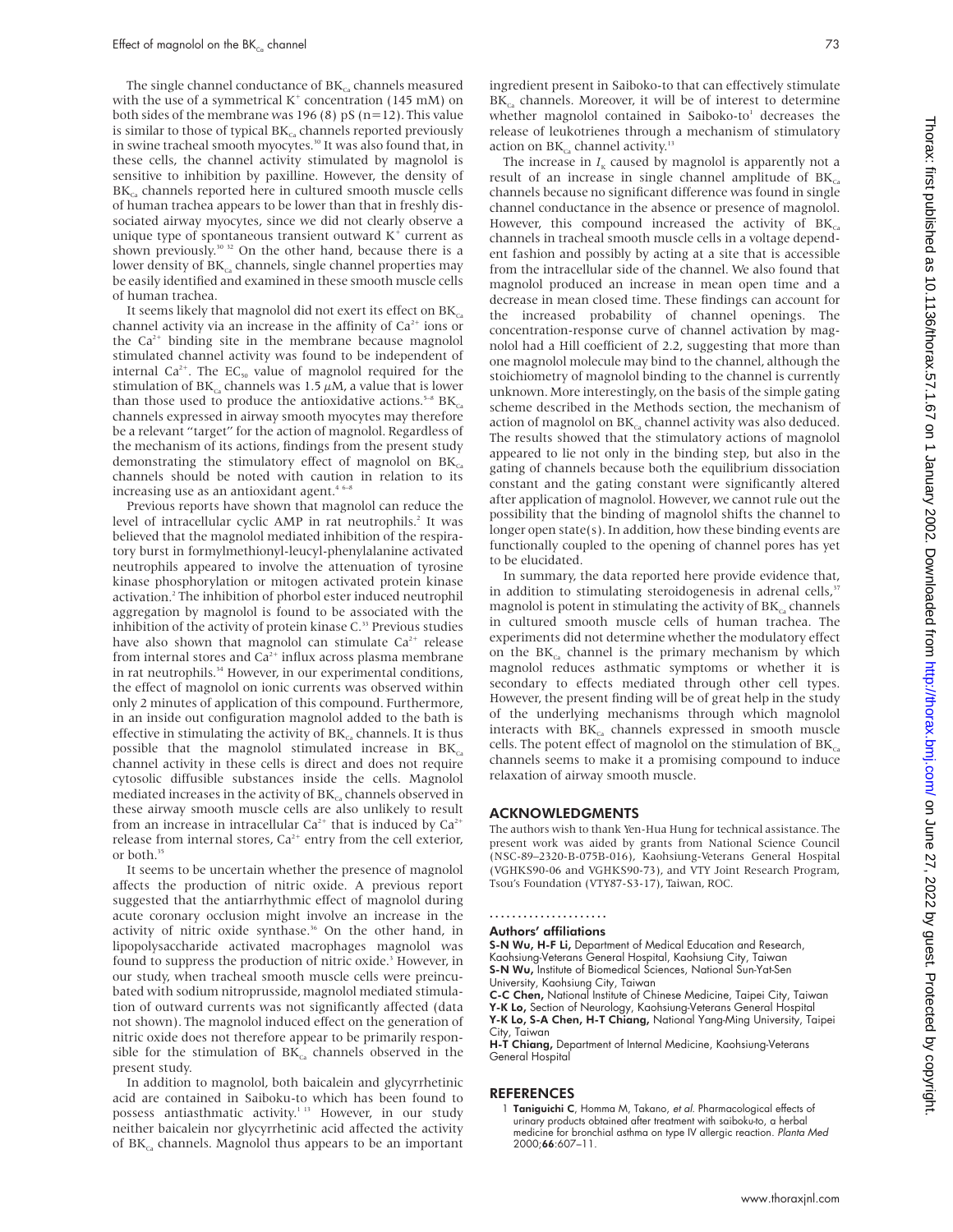The single channel conductance of  $BK_{ca}$  channels measured with the use of a symmetrical  $K^+$  concentration (145 mM) on both sides of the membrane was 196 (8) pS ( $n=12$ ). This value is similar to those of typical  $BK_{cs}$  channels reported previously in swine tracheal smooth myocytes.30 It was also found that, in these cells, the channel activity stimulated by magnolol is sensitive to inhibition by paxilline. However, the density of  $BK_{c}$  channels reported here in cultured smooth muscle cells of human trachea appears to be lower than that in freshly dissociated airway myocytes, since we did not clearly observe a unique type of spontaneous transient outward  $K^+$  current as shown previously.<sup>30 32</sup> On the other hand, because there is a lower density of  $BK_{c}$  channels, single channel properties may be easily identified and examined in these smooth muscle cells of human trachea.

It seems likely that magnolol did not exert its effect on  $BK_{cs}$ channel activity via an increase in the affinity of  $Ca<sup>2+</sup>$  ions or the  $Ca^{2+}$  binding site in the membrane because magnolol stimulated channel activity was found to be independent of internal  $Ca^{2+}$ . The EC<sub>50</sub> value of magnolol required for the stimulation of  $BK_{c}$  channels was 1.5  $\mu$ M, a value that is lower than those used to produce the antioxidative actions.<sup>5-8</sup>  $BK_{Ca}$ channels expressed in airway smooth myocytes may therefore be a relevant "target" for the action of magnolol. Regardless of the mechanism of its actions, findings from the present study demonstrating the stimulatory effect of magnolol on  $BK_{ca}$ channels should be noted with caution in relation to its increasing use as an antioxidant agent.<sup>46-8</sup>

Previous reports have shown that magnolol can reduce the level of intracellular cyclic AMP in rat neutrophils.<sup>2</sup> It was believed that the magnolol mediated inhibition of the respiratory burst in formylmethionyl-leucyl-phenylalanine activated neutrophils appeared to involve the attenuation of tyrosine kinase phosphorylation or mitogen activated protein kinase activation.<sup>2</sup> The inhibition of phorbol ester induced neutrophil aggregation by magnolol is found to be associated with the inhibition of the activity of protein kinase C.<sup>33</sup> Previous studies have also shown that magnolol can stimulate  $Ca^{2+}$  release from internal stores and  $Ca^{2+}$  influx across plasma membrane in rat neutrophils.<sup>34</sup> However, in our experimental conditions, the effect of magnolol on ionic currents was observed within only 2 minutes of application of this compound. Furthermore, in an inside out configuration magnolol added to the bath is effective in stimulating the activity of  $BK_{Ca}$  channels. It is thus possible that the magnolol stimulated increase in  $BK_{ca}$ channel activity in these cells is direct and does not require cytosolic diffusible substances inside the cells. Magnolol mediated increases in the activity of  $BK_{ca}$  channels observed in these airway smooth muscle cells are also unlikely to result from an increase in intracellular  $Ca^{2+}$  that is induced by  $Ca^{2+}$ release from internal stores,  $Ca^{2+}$  entry from the cell exterior, or both.<sup>35</sup>

It seems to be uncertain whether the presence of magnolol affects the production of nitric oxide. A previous report suggested that the antiarrhythmic effect of magnolol during acute coronary occlusion might involve an increase in the activity of nitric oxide synthase.<sup>36</sup> On the other hand, in lipopolysaccharide activated macrophages magnolol was found to suppress the production of nitric oxide.<sup>3</sup> However, in our study, when tracheal smooth muscle cells were preincubated with sodium nitroprusside, magnolol mediated stimulation of outward currents was not significantly affected (data not shown). The magnolol induced effect on the generation of nitric oxide does not therefore appear to be primarily responsible for the stimulation of  $BK_{ca}$  channels observed in the present study.

In addition to magnolol, both baicalein and glycyrrhetinic acid are contained in Saiboku-to which has been found to possess antiasthmatic activity.<sup>1 13</sup> However, in our study neither baicalein nor glycyrrhetinic acid affected the activity of  $BK_{c}$  channels. Magnolol thus appears to be an important

ingredient present in Saiboko-to that can effectively stimulate  $BK_{c}$  channels. Moreover, it will be of interest to determine whether magnolol contained in Saiboko-to<sup>1</sup> decreases the release of leukotrienes through a mechanism of stimulatory action on  $\rm BK_{\rm Ca}$  channel activity.<sup>13</sup>

The increase in  $I_K$  caused by magnolol is apparently not a result of an increase in single channel amplitude of  $BK_{ca}$ channels because no significant difference was found in single channel conductance in the absence or presence of magnolol. However, this compound increased the activity of  $BK_{ca}$ channels in tracheal smooth muscle cells in a voltage dependent fashion and possibly by acting at a site that is accessible from the intracellular side of the channel. We also found that magnolol produced an increase in mean open time and a decrease in mean closed time. These findings can account for the increased probability of channel openings. The concentration-response curve of channel activation by magnolol had a Hill coefficient of 2.2, suggesting that more than one magnolol molecule may bind to the channel, although the stoichiometry of magnolol binding to the channel is currently unknown. More interestingly, on the basis of the simple gating scheme described in the Methods section, the mechanism of action of magnolol on  $BK<sub>co</sub>$  channel activity was also deduced. The results showed that the stimulatory actions of magnolol appeared to lie not only in the binding step, but also in the gating of channels because both the equilibrium dissociation constant and the gating constant were significantly altered after application of magnolol. However, we cannot rule out the possibility that the binding of magnolol shifts the channel to longer open state(s). In addition, how these binding events are functionally coupled to the opening of channel pores has yet to be elucidated.

In summary, the data reported here provide evidence that, in addition to stimulating steroidogenesis in adrenal cells, $\overline{s}$ magnolol is potent in stimulating the activity of  $BK_{ca}$  channels in cultured smooth muscle cells of human trachea. The experiments did not determine whether the modulatory effect on the  $BK<sub>c</sub>$  channel is the primary mechanism by which magnolol reduces asthmatic symptoms or whether it is secondary to effects mediated through other cell types. However, the present finding will be of great help in the study of the underlying mechanisms through which magnolol interacts with  $BK<sub>c</sub>$ , channels expressed in smooth muscle cells. The potent effect of magnolol on the stimulation of  $BK_{ca}$ channels seems to make it a promising compound to induce relaxation of airway smooth muscle.

#### ACKNOWLEDGMENTS

The authors wish to thank Yen-Hua Hung for technical assistance. The present work was aided by grants from National Science Council (NSC-89–2320-B-075B-016), Kaohsiung-Veterans General Hospital (VGHKS90-06 and VGHKS90-73), and VTY Joint Research Program, Tsou's Foundation (VTY87-S3-17), Taiwan, ROC.

# .....................

## Authors' affiliations

S-N Wu, H-F Li, Department of Medical Education and Research, Kaohsiung-Veterans General Hospital, Kaohsiung City, Taiwan S-N Wu, Institute of Biomedical Sciences, National Sun-Yat-Sen University, Kaohsiung City, Taiwan<br>**C-C Chen,** National Institute of Chinese Medicine, Taipei City, Taiwan

Y-K Lo, Section of Neurology, Kaohsiung-Veterans General Hospital Y-K Lo, S-A Chen, H-T Chiang, National Yang-Ming University, Taipei City, Taiwan

H-T Chiang, Department of Internal Medicine, Kaohsiung-Veterans General Hospital

#### REFERENCES

1 Taniguichi C, Homma M, Takano, et al. Pharmacological effects of urinary products obtained after treatment with saiboku-to, a herbal medicine for bronchial asthma on type IV allergic reaction. Planta Med 2000;66:607–11.